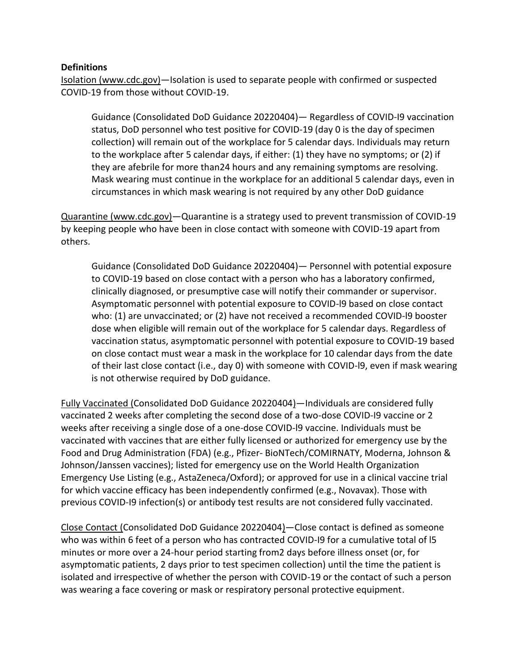#### **Definitions**

Isolation (www.cdc.gov)—Isolation is used to separate people with confirmed or suspected COVID-19 from those without COVID-19.

Guidance (Consolidated DoD Guidance 20220404)— Regardless of COVID-I9 vaccination status, DoD personnel who test positive for COVID-19 (day 0 is the day of specimen collection) will remain out of the workplace for 5 calendar days. Individuals may return to the workplace after 5 calendar days, if either: (1) they have no symptoms; or (2) if they are afebrile for more than24 hours and any remaining symptoms are resolving. Mask wearing must continue in the workplace for an additional 5 calendar days, even in circumstances in which mask wearing is not required by any other DoD guidance

Quarantine (www.cdc.gov)—Quarantine is a strategy used to prevent transmission of COVID-19 by keeping people who have been in close contact with someone with COVID-19 apart from others.

Guidance (Consolidated DoD Guidance 20220404)— Personnel with potential exposure to COVID-19 based on close contact with a person who has a laboratory confirmed, clinically diagnosed, or presumptive case will notify their commander or supervisor. Asymptomatic personnel with potential exposure to COVID-l9 based on close contact who: (1) are unvaccinated; or (2) have not received a recommended COVID-l9 booster dose when eligible will remain out of the workplace for 5 calendar days. Regardless of vaccination status, asymptomatic personnel with potential exposure to COVID-19 based on close contact must wear a mask in the workplace for 10 calendar days from the date of their last close contact (i.e., day 0) with someone with COVID-l9, even if mask wearing is not otherwise required by DoD guidance.

Fully Vaccinated (Consolidated DoD Guidance 20220404)—Individuals are considered fully vaccinated 2 weeks after completing the second dose of a two-dose COVID-I9 vaccine or 2 weeks after receiving a single dose of a one-dose COVID-l9 vaccine. Individuals must be vaccinated with vaccines that are either fully licensed or authorized for emergency use by the Food and Drug Administration (FDA) (e.g., Pfizer- BioNTech/COMIRNATY, Moderna, Johnson & Johnson/Janssen vaccines); listed for emergency use on the World Health Organization Emergency Use Listing (e.g., AstaZeneca/Oxford); or approved for use in a clinical vaccine trial for which vaccine efficacy has been independently confirmed (e.g., Novavax). Those with previous COVID-I9 infection(s) or antibody test results are not considered fully vaccinated.

Close Contact (Consolidated DoD Guidance 20220404)—Close contact is defined as someone who was within 6 feet of a person who has contracted COVID-I9 for a cumulative total of l5 minutes or more over a 24-hour period starting from2 days before illness onset (or, for asymptomatic patients, 2 days prior to test specimen collection) until the time the patient is isolated and irrespective of whether the person with COVID-19 or the contact of such a person was wearing a face covering or mask or respiratory personal protective equipment.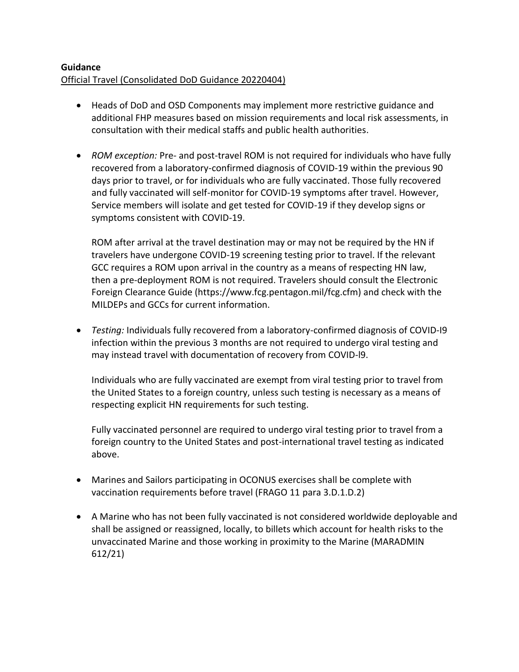#### **Guidance** Official Travel (Consolidated DoD Guidance 20220404)

- Heads of DoD and OSD Components may implement more restrictive guidance and additional FHP measures based on mission requirements and local risk assessments, in consultation with their medical staffs and public health authorities.
- *ROM exception:* Pre- and post-travel ROM is not required for individuals who have fully recovered from a laboratory-confirmed diagnosis of COVID-19 within the previous 90 days prior to travel, or for individuals who are fully vaccinated. Those fully recovered and fully vaccinated will self-monitor for COVID-19 symptoms after travel. However, Service members will isolate and get tested for COVID-19 if they develop signs or symptoms consistent with COVID-19.

ROM after arrival at the travel destination may or may not be required by the HN if travelers have undergone COVID-19 screening testing prior to travel. If the relevant GCC requires a ROM upon arrival in the country as a means of respecting HN law, then a pre-deployment ROM is not required. Travelers should consult the Electronic Foreign Clearance Guide (https://www.fcg.pentagon.mil/fcg.cfm) and check with the MILDEPs and GCCs for current information.

 *Testing:* Individuals fully recovered from a laboratory-confirmed diagnosis of COVID-I9 infection within the previous 3 months are not required to undergo viral testing and may instead travel with documentation of recovery from COVID-l9.

Individuals who are fully vaccinated are exempt from viral testing prior to travel from the United States to a foreign country, unless such testing is necessary as a means of respecting explicit HN requirements for such testing.

Fully vaccinated personnel are required to undergo viral testing prior to travel from a foreign country to the United States and post-international travel testing as indicated above.

- Marines and Sailors participating in OCONUS exercises shall be complete with vaccination requirements before travel (FRAGO 11 para 3.D.1.D.2)
- A Marine who has not been fully vaccinated is not considered worldwide deployable and shall be assigned or reassigned, locally, to billets which account for health risks to the unvaccinated Marine and those working in proximity to the Marine (MARADMIN 612/21)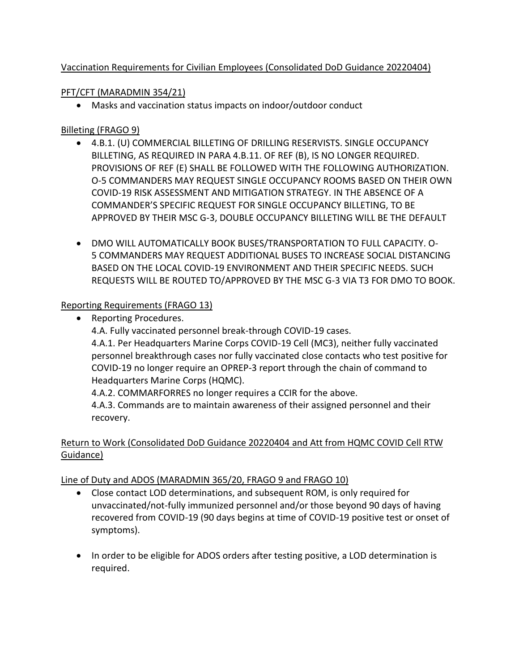## Vaccination Requirements for Civilian Employees (Consolidated DoD Guidance 20220404)

## PFT/CFT (MARADMIN 354/21)

Masks and vaccination status impacts on indoor/outdoor conduct

## Billeting (FRAGO 9)

- 4.B.1. (U) COMMERCIAL BILLETING OF DRILLING RESERVISTS. SINGLE OCCUPANCY BILLETING, AS REQUIRED IN PARA 4.B.11. OF REF (B), IS NO LONGER REQUIRED. PROVISIONS OF REF (E) SHALL BE FOLLOWED WITH THE FOLLOWING AUTHORIZATION. O-5 COMMANDERS MAY REQUEST SINGLE OCCUPANCY ROOMS BASED ON THEIR OWN COVID-19 RISK ASSESSMENT AND MITIGATION STRATEGY. IN THE ABSENCE OF A COMMANDER'S SPECIFIC REQUEST FOR SINGLE OCCUPANCY BILLETING, TO BE APPROVED BY THEIR MSC G-3, DOUBLE OCCUPANCY BILLETING WILL BE THE DEFAULT
- DMO WILL AUTOMATICALLY BOOK BUSES/TRANSPORTATION TO FULL CAPACITY. O-5 COMMANDERS MAY REQUEST ADDITIONAL BUSES TO INCREASE SOCIAL DISTANCING BASED ON THE LOCAL COVID-19 ENVIRONMENT AND THEIR SPECIFIC NEEDS. SUCH REQUESTS WILL BE ROUTED TO/APPROVED BY THE MSC G-3 VIA T3 FOR DMO TO BOOK.

## Reporting Requirements (FRAGO 13)

• Reporting Procedures. 4.A. Fully vaccinated personnel break-through COVID-19 cases. 4.A.1. Per Headquarters Marine Corps COVID-19 Cell (MC3), neither fully vaccinated personnel breakthrough cases nor fully vaccinated close contacts who test positive for COVID-19 no longer require an OPREP-3 report through the chain of command to Headquarters Marine Corps (HQMC). 4.A.2. COMMARFORRES no longer requires a CCIR for the above. 4.A.3. Commands are to maintain awareness of their assigned personnel and their

recovery.

# Return to Work (Consolidated DoD Guidance 20220404 and Att from HQMC COVID Cell RTW Guidance)

## Line of Duty and ADOS (MARADMIN 365/20, FRAGO 9 and FRAGO 10)

- Close contact LOD determinations, and subsequent ROM, is only required for unvaccinated/not-fully immunized personnel and/or those beyond 90 days of having recovered from COVID-19 (90 days begins at time of COVID-19 positive test or onset of symptoms).
- In order to be eligible for ADOS orders after testing positive, a LOD determination is required.